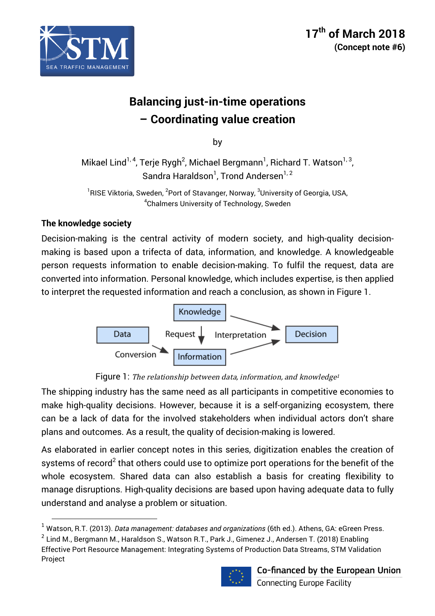

# **Balancing just-in-time operations – Coordinating value creation**

by

Mikael Lind $^{\rm 1,\, 4}$ , Terje Rygh $^{\rm 2}$ , Michael Bergmann $^{\rm 1}$ , Richard T. Watson $^{\rm 1,\, 3}$ , Sandra Haraldson<sup>1</sup>, Trond Andersen<sup>1, 2</sup>

<sup>1</sup>RISE Viktoria, Sweden, <sup>2</sup>Port of Stavanger, Norway, <sup>3</sup>University of Georgia, USA,  ${\rm ^4}$ Chalmers University of Technology, Sweden

# **The knowledge society**

<u> 1989 - Johann Stein, fransk politik (d. 1989)</u>

Decision-making is the central activity of modern society, and high-quality decisionmaking is based upon a trifecta of data, information, and knowledge. A knowledgeable person requests information to enable decision-making. To fulfil the request, data are converted into information. Personal knowledge, which includes expertise, is then applied to interpret the requested information and reach a conclusion, as shown in Figure 1.



Figure 1: The relationship between data, information, and knowledge<sup>1</sup>

The shipping industry has the same need as all participants in competitive economies to make high-quality decisions. However, because it is a self-organizing ecosystem, there can be a lack of data for the involved stakeholders when individual actors don't share plans and outcomes. As a result, the quality of decision-making is lowered.

As elaborated in earlier concept notes in this series, digitization enables the creation of systems of record<sup>2</sup> that others could use to optimize port operations for the benefit of the whole ecosystem. Shared data can also establish a basis for creating flexibility to manage disruptions. High-quality decisions are based upon having adequate data to fully understand and analyse a problem or situation.

 $2$  Lind M., Bergmann M., Haraldson S., Watson R.T., Park J., Gimenez J., Andersen T. (2018) Enabling Effective Port Resource Management: Integrating Systems of Production Data Streams, STM Validation Project



<sup>1</sup> Watson, R.T. (2013). *Data management: databases and organizations* (6th ed.). Athens, GA: eGreen Press.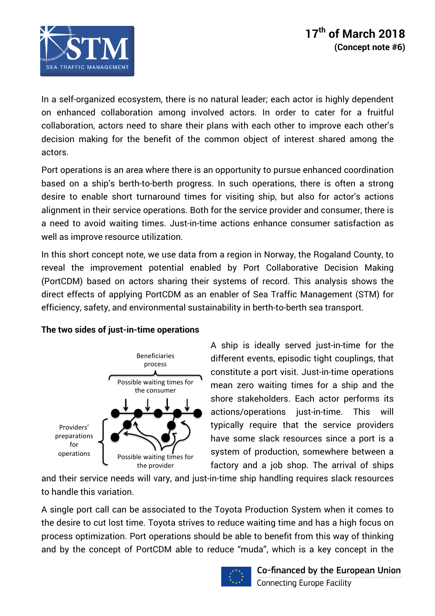

In a self-organized ecosystem, there is no natural leader; each actor is highly dependent on enhanced collaboration among involved actors. In order to cater for a fruitful collaboration, actors need to share their plans with each other to improve each other's decision making for the benefit of the common object of interest shared among the actors.

Port operations is an area where there is an opportunity to pursue enhanced coordination based on a ship's berth-to-berth progress. In such operations, there is often a strong desire to enable short turnaround times for visiting ship, but also for actor's actions alignment in their service operations. Both for the service provider and consumer, there is a need to avoid waiting times. Just-in-time actions enhance consumer satisfaction as well as improve resource utilization.

In this short concept note, we use data from a region in Norway, the Rogaland County, to reveal the improvement potential enabled by Port Collaborative Decision Making (PortCDM) based on actors sharing their systems of record. This analysis shows the direct effects of applying PortCDM as an enabler of Sea Traffic Management (STM) for efficiency, safety, and environmental sustainability in berth-to-berth sea transport.



Providers' preparations for operations 

Possible waiting times for the consumer

Possible waiting times for the provider

### **The two sides of just-in-time operations**

A ship is ideally served just-in-time for the different events, episodic tight couplings, that constitute a port visit. Just-in-time operations mean zero waiting times for a ship and the shore stakeholders. Each actor performs its actions/operations just-in-time. This will typically require that the service providers have some slack resources since a port is a system of production, somewhere between a factory and a job shop. The arrival of ships

and their service needs will vary, and just-in-time ship handling requires slack resources to handle this variation.

A single port call can be associated to the Toyota Production System when it comes to the desire to cut lost time. Toyota strives to reduce waiting time and has a high focus on process optimization. Port operations should be able to benefit from this way of thinking and by the concept of PortCDM able to reduce "muda", which is a key concept in the

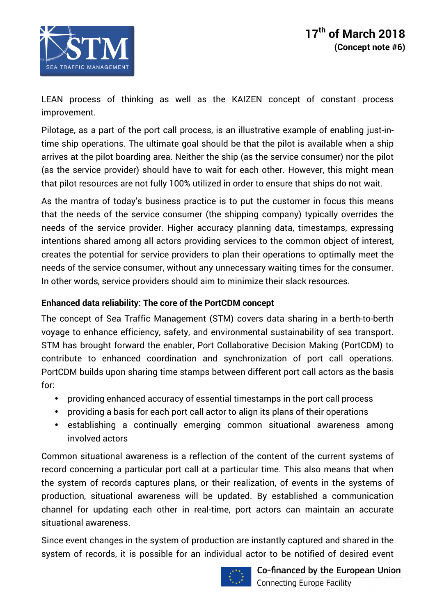

LEAN process of thinking as well as the KAIZEN concept of constant process improvement.

Pilotage, as a part of the port call process, is an illustrative example of enabling just-intime ship operations. The ultimate goal should be that the pilot is available when a ship arrives at the pilot boarding area. Neither the ship (as the service consumer) nor the pilot (as the service provider) should have to wait for each other. However, this might mean that pilot resources are not fully 100% utilized in order to ensure that ships do not wait.

As the mantra of today's business practice is to put the customer in focus this means that the needs of the service consumer (the shipping company) typically overrides the needs of the service provider. Higher accuracy planning data, timestamps, expressing intentions shared among all actors providing services to the common object of interest, creates the potential for service providers to plan their operations to optimally meet the needs of the service consumer, without any unnecessary waiting times for the consumer. In other words, service providers should aim to minimize their slack resources.

### **Enhanced data reliability: The core of the PortCDM concept**

The concept of Sea Traffic Management (STM) covers data sharing in a berth-to-berth voyage to enhance efficiency, safety, and environmental sustainability of sea transport. STM has brought forward the enabler, Port Collaborative Decision Making (PortCDM) to contribute to enhanced coordination and synchronization of port call operations. PortCDM builds upon sharing time stamps between different port call actors as the basis for:

- providing enhanced accuracy of essential timestamps in the port call process
- providing a basis for each port call actor to align its plans of their operations
- establishing a continually emerging common situational awareness among involved actors

Common situational awareness is a reflection of the content of the current systems of record concerning a particular port call at a particular time. This also means that when the system of records captures plans, or their realization, of events in the systems of production, situational awareness will be updated. By established a communication channel for updating each other in real-time, port actors can maintain an accurate situational awareness.

Since event changes in the system of production are instantly captured and shared in the system of records, it is possible for an individual actor to be notified of desired event

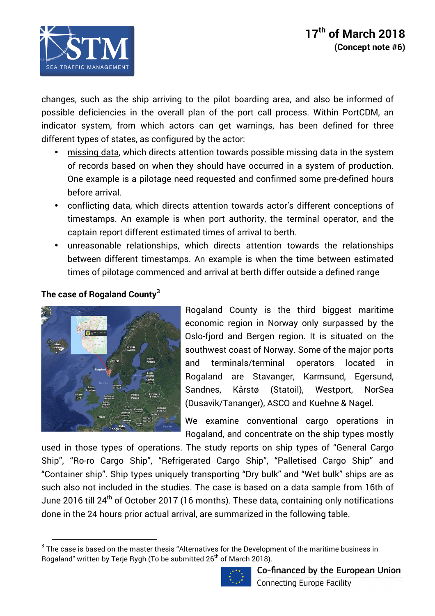

changes, such as the ship arriving to the pilot boarding area, and also be informed of possible deficiencies in the overall plan of the port call process. Within PortCDM, an indicator system, from which actors can get warnings, has been defined for three different types of states, as configured by the actor:

- missing data, which directs attention towards possible missing data in the system of records based on when they should have occurred in a system of production. One example is a pilotage need requested and confirmed some pre-defined hours before arrival.
- conflicting data, which directs attention towards actor's different conceptions of timestamps. An example is when port authority, the terminal operator, and the captain report different estimated times of arrival to berth.
- unreasonable relationships, which directs attention towards the relationships between different timestamps. An example is when the time between estimated times of pilotage commenced and arrival at berth differ outside a defined range

# **The case of Rogaland County<sup>3</sup>**



<u> 1989 - Johann Stein, fransk politik (d. 1989)</u>

Rogaland County is the third biggest maritime economic region in Norway only surpassed by the Oslo-fjord and Bergen region. It is situated on the southwest coast of Norway. Some of the major ports and terminals/terminal operators located in Rogaland are Stavanger, Karmsund, Egersund, Sandnes, Kårstø (Statoil), Westport, NorSea (Dusavik/Tananger), ASCO and Kuehne & Nagel.

We examine conventional cargo operations in Rogaland, and concentrate on the ship types mostly

used in those types of operations. The study reports on ship types of "General Cargo Ship", "Ro-ro Cargo Ship", "Refrigerated Cargo Ship", "Palletised Cargo Ship" and "Container ship". Ship types uniquely transporting "Dry bulk" and "Wet bulk" ships are as such also not included in the studies. The case is based on a data sample from 16th of June 2016 till 24<sup>th</sup> of October 2017 (16 months). These data, containing only notifications done in the 24 hours prior actual arrival, are summarized in the following table.

 $3$  The case is based on the master thesis "Alternatives for the Development of the maritime business in Rogaland" written by Terje Rygh (To be submitted 26<sup>th</sup> of March 2018).

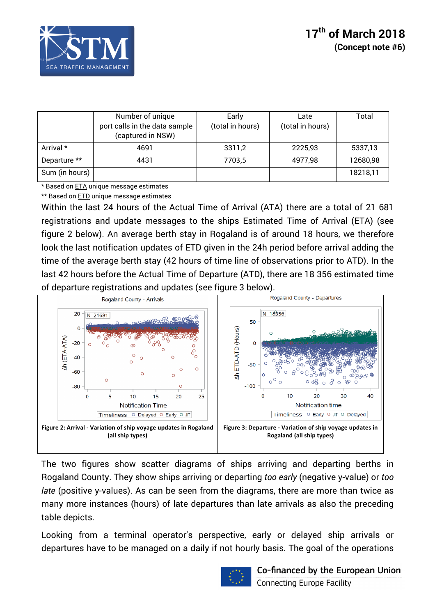

|                | Number of unique<br>port calls in the data sample<br>(captured in NSW) | Early<br>(total in hours) | Late<br>(total in hours) | Total    |
|----------------|------------------------------------------------------------------------|---------------------------|--------------------------|----------|
| Arrival *      | 4691                                                                   | 3311,2                    | 2225,93                  | 5337,13  |
| Departure **   | 4431                                                                   | 7703,5                    | 4977,98                  | 12680,98 |
| Sum (in hours) |                                                                        |                           |                          | 18218,11 |

\* Based on ETA unique message estimates

\*\* Based on ETD unique message estimates

Within the last 24 hours of the Actual Time of Arrival (ATA) there are a total of 21 681 registrations and update messages to the ships Estimated Time of Arrival (ETA) (see figure 2 below). An average berth stay in Rogaland is of around 18 hours, we therefore look the last notification updates of ETD given in the 24h period before arrival adding the time of the average berth stay (42 hours of time line of observations prior to ATD). In the last 42 hours before the Actual Time of Departure (ATD), there are 18 356 estimated time of departure registrations and updates (see figure 3 below).



The two figures show scatter diagrams of ships arriving and departing berths in Rogaland County. They show ships arriving or departing *too early* (negative y-value) or *too late* (positive y-values). As can be seen from the diagrams, there are more than twice as many more instances (hours) of late departures than late arrivals as also the preceding table depicts.

Looking from a terminal operator's perspective, early or delayed ship arrivals or departures have to be managed on a daily if not hourly basis. The goal of the operations

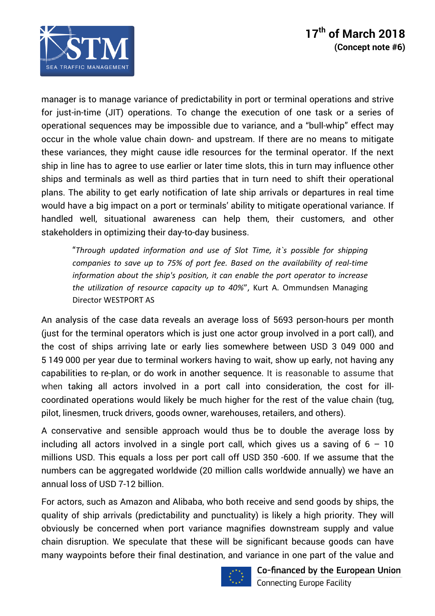

manager is to manage variance of predictability in port or terminal operations and strive for just-in-time (JIT) operations. To change the execution of one task or a series of operational sequences may be impossible due to variance, and a "bull-whip" effect may occur in the whole value chain down- and upstream. If there are no means to mitigate these variances, they might cause idle resources for the terminal operator. If the next ship in line has to agree to use earlier or later time slots, this in turn may influence other ships and terminals as well as third parties that in turn need to shift their operational plans. The ability to get early notification of late ship arrivals or departures in real time would have a big impact on a port or terminals' ability to mitigate operational variance. If handled well, situational awareness can help them, their customers, and other stakeholders in optimizing their day-to-day business.

"*Through updated information and use of Slot Time, it`s possible for shipping companies to save up to 75% of port fee. Based on the availability of real-time information about the ship's position, it can enable the port operator to increase the utilization of resource capacity up to 40%"*, Kurt A. Ommundsen Managing Director WESTPORT AS

An analysis of the case data reveals an average loss of 5693 person-hours per month (just for the terminal operators which is just one actor group involved in a port call), and the cost of ships arriving late or early lies somewhere between USD 3 049 000 and 5 149 000 per year due to terminal workers having to wait, show up early, not having any capabilities to re-plan, or do work in another sequence. It is reasonable to assume that when taking all actors involved in a port call into consideration, the cost for illcoordinated operations would likely be much higher for the rest of the value chain (tug, pilot, linesmen, truck drivers, goods owner, warehouses, retailers, and others).

A conservative and sensible approach would thus be to double the average loss by including all actors involved in a single port call, which gives us a saving of  $6 - 10$ millions USD. This equals a loss per port call off USD 350 -600. If we assume that the numbers can be aggregated worldwide (20 million calls worldwide annually) we have an annual loss of USD 7-12 billion.

For actors, such as Amazon and Alibaba, who both receive and send goods by ships, the quality of ship arrivals (predictability and punctuality) is likely a high priority. They will obviously be concerned when port variance magnifies downstream supply and value chain disruption. We speculate that these will be significant because goods can have many waypoints before their final destination, and variance in one part of the value and

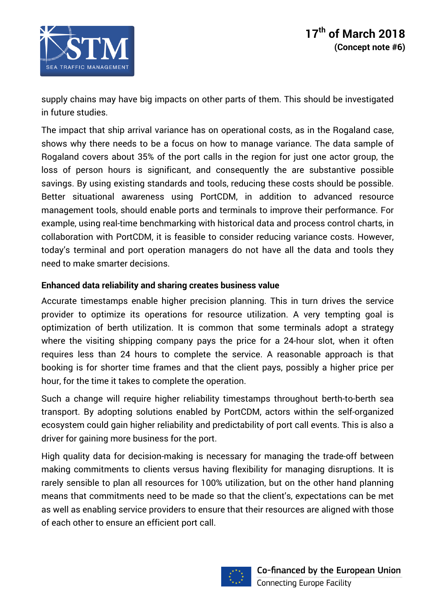supply chains may have big impacts on other parts of them. This should be investigated in future studies.

The impact that ship arrival variance has on operational costs, as in the Rogaland case, shows why there needs to be a focus on how to manage variance. The data sample of Rogaland covers about 35% of the port calls in the region for just one actor group, the loss of person hours is significant, and consequently the are substantive possible savings. By using existing standards and tools, reducing these costs should be possible. Better situational awareness using PortCDM, in addition to advanced resource management tools, should enable ports and terminals to improve their performance. For example, using real-time benchmarking with historical data and process control charts, in collaboration with PortCDM, it is feasible to consider reducing variance costs. However, today's terminal and port operation managers do not have all the data and tools they need to make smarter decisions.

# **Enhanced data reliability and sharing creates business value**

Accurate timestamps enable higher precision planning. This in turn drives the service provider to optimize its operations for resource utilization. A very tempting goal is optimization of berth utilization. It is common that some terminals adopt a strategy where the visiting shipping company pays the price for a 24-hour slot, when it often requires less than 24 hours to complete the service. A reasonable approach is that booking is for shorter time frames and that the client pays, possibly a higher price per hour, for the time it takes to complete the operation.

Such a change will require higher reliability timestamps throughout berth-to-berth sea transport. By adopting solutions enabled by PortCDM, actors within the self-organized ecosystem could gain higher reliability and predictability of port call events. This is also a driver for gaining more business for the port.

High quality data for decision-making is necessary for managing the trade-off between making commitments to clients versus having flexibility for managing disruptions. It is rarely sensible to plan all resources for 100% utilization, but on the other hand planning means that commitments need to be made so that the client's, expectations can be met as well as enabling service providers to ensure that their resources are aligned with those of each other to ensure an efficient port call.

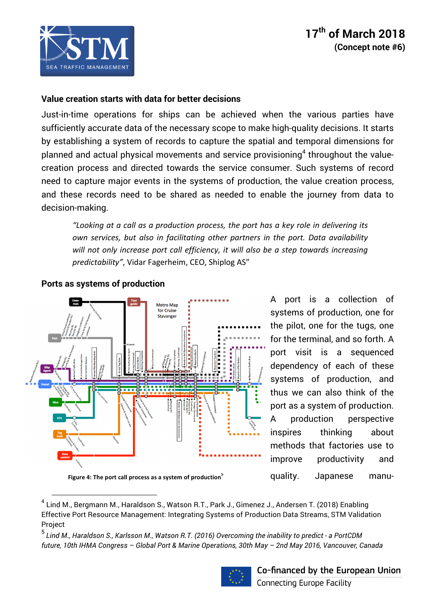

# **17th of March 2018 (Concept note #6)**

### **Value creation starts with data for better decisions**

Just-in-time operations for ships can be achieved when the various parties have sufficiently accurate data of the necessary scope to make high-quality decisions. It starts by establishing a system of records to capture the spatial and temporal dimensions for planned and actual physical movements and service provisioning<sup>4</sup> throughout the valuecreation process and directed towards the service consumer. Such systems of record need to capture major events in the systems of production, the value creation process, and these records need to be shared as needed to enable the journey from data to decision-making.

"Looking at a call as a production process, the port has a key role in delivering its *own services, but also in facilitating other partners in the port. Data availability* will not only increase port call efficiency, it will also be a step towards increasing predictability", Vidar Fagerheim, CEO, Shiplog AS"



### **Ports as systems of production**

<u> 1989 - Johann Stein, fransk politik (d. 1989)</u>

Figure 4: The port call process as a system of production<sup>5</sup>

A port is a collection of systems of production, one for the pilot, one for the tugs, one for the terminal, and so forth. A port visit is a sequenced dependency of each of these systems of production, and thus we can also think of the port as a system of production. A production perspective inspires thinking about methods that factories use to improve productivity and quality. Japanese manu-

<sup>5</sup> *Lind M., Haraldson S., Karlsson M., Watson R.T. (2016) Overcoming the inability to predict - a PortCDM future, 10th IHMA Congress – Global Port & Marine Operations, 30th May – 2nd May 2016, Vancouver, Canada* 



<sup>&</sup>lt;sup>4</sup> Lind M., Bergmann M., Haraldson S., Watson R.T., Park J., Gimenez J., Andersen T. (2018) Enabling Effective Port Resource Management: Integrating Systems of Production Data Streams, STM Validation Project